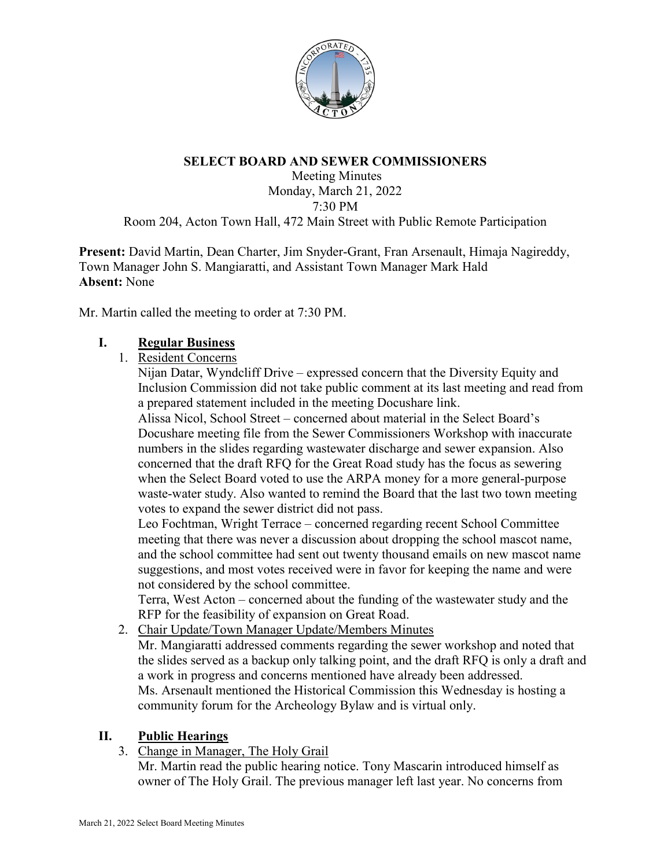

### **SELECT BOARD AND SEWER COMMISSIONERS**

Meeting Minutes Monday, March 21, 2022 7:30 PM

Room 204, Acton Town Hall, 472 Main Street with Public Remote Participation

**Present:** David Martin, Dean Charter, Jim Snyder-Grant, Fran Arsenault, Himaja Nagireddy, Town Manager John S. Mangiaratti, and Assistant Town Manager Mark Hald **Absent:** None

Mr. Martin called the meeting to order at 7:30 PM.

### **I. Regular Business**

1. Resident Concerns

Nijan Datar, Wyndcliff Drive – expressed concern that the Diversity Equity and Inclusion Commission did not take public comment at its last meeting and read from a prepared statement included in the meeting Docushare link.

Alissa Nicol, School Street – concerned about material in the Select Board's Docushare meeting file from the Sewer Commissioners Workshop with inaccurate numbers in the slides regarding wastewater discharge and sewer expansion. Also concerned that the draft RFQ for the Great Road study has the focus as sewering when the Select Board voted to use the ARPA money for a more general-purpose waste-water study. Also wanted to remind the Board that the last two town meeting votes to expand the sewer district did not pass.

Leo Fochtman, Wright Terrace – concerned regarding recent School Committee meeting that there was never a discussion about dropping the school mascot name, and the school committee had sent out twenty thousand emails on new mascot name suggestions, and most votes received were in favor for keeping the name and were not considered by the school committee.

Terra, West Acton – concerned about the funding of the wastewater study and the RFP for the feasibility of expansion on Great Road.

- 2. Chair Update/Town Manager Update/Members Minutes
	- Mr. Mangiaratti addressed comments regarding the sewer workshop and noted that the slides served as a backup only talking point, and the draft RFQ is only a draft and a work in progress and concerns mentioned have already been addressed. Ms. Arsenault mentioned the Historical Commission this Wednesday is hosting a community forum for the Archeology Bylaw and is virtual only.

### **II. Public Hearings**

3. Change in Manager, The Holy Grail

Mr. Martin read the public hearing notice. Tony Mascarin introduced himself as owner of The Holy Grail. The previous manager left last year. No concerns from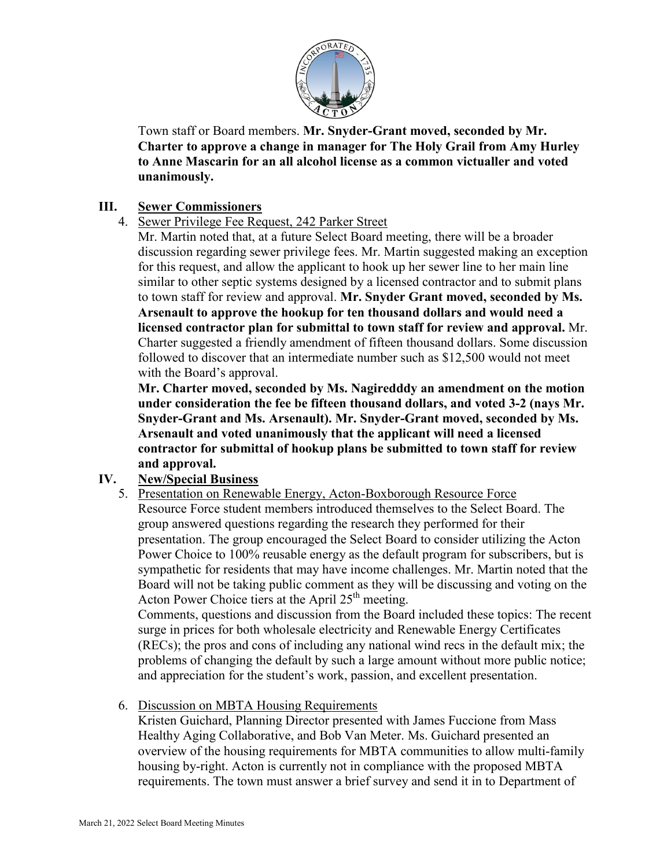

Town staff or Board members. **Mr. Snyder-Grant moved, seconded by Mr. Charter to approve a change in manager for The Holy Grail from Amy Hurley to Anne Mascarin for an all alcohol license as a common victualler and voted unanimously.**

### **III. Sewer Commissioners**

## 4. Sewer Privilege Fee Request, 242 Parker Street

Mr. Martin noted that, at a future Select Board meeting, there will be a broader discussion regarding sewer privilege fees. Mr. Martin suggested making an exception for this request, and allow the applicant to hook up her sewer line to her main line similar to other septic systems designed by a licensed contractor and to submit plans to town staff for review and approval. **Mr. Snyder Grant moved, seconded by Ms. Arsenault to approve the hookup for ten thousand dollars and would need a licensed contractor plan for submittal to town staff for review and approval.** Mr. Charter suggested a friendly amendment of fifteen thousand dollars. Some discussion followed to discover that an intermediate number such as \$12,500 would not meet with the Board's approval.

**Mr. Charter moved, seconded by Ms. Nagiredddy an amendment on the motion under consideration the fee be fifteen thousand dollars, and voted 3-2 (nays Mr. Snyder-Grant and Ms. Arsenault). Mr. Snyder-Grant moved, seconded by Ms. Arsenault and voted unanimously that the applicant will need a licensed contractor for submittal of hookup plans be submitted to town staff for review and approval.** 

# **IV. New/Special Business**

5. Presentation on Renewable Energy, Acton-Boxborough Resource Force Resource Force student members introduced themselves to the Select Board. The group answered questions regarding the research they performed for their presentation. The group encouraged the Select Board to consider utilizing the Acton Power Choice to 100% reusable energy as the default program for subscribers, but is sympathetic for residents that may have income challenges. Mr. Martin noted that the Board will not be taking public comment as they will be discussing and voting on the Acton Power Choice tiers at the April 25<sup>th</sup> meeting.

Comments, questions and discussion from the Board included these topics: The recent surge in prices for both wholesale electricity and Renewable Energy Certificates (RECs); the pros and cons of including any national wind recs in the default mix; the problems of changing the default by such a large amount without more public notice; and appreciation for the student's work, passion, and excellent presentation.

6. Discussion on MBTA Housing Requirements

Kristen Guichard, Planning Director presented with James Fuccione from Mass Healthy Aging Collaborative, and Bob Van Meter. Ms. Guichard presented an overview of the housing requirements for MBTA communities to allow multi-family housing by-right. Acton is currently not in compliance with the proposed MBTA requirements. The town must answer a brief survey and send it in to Department of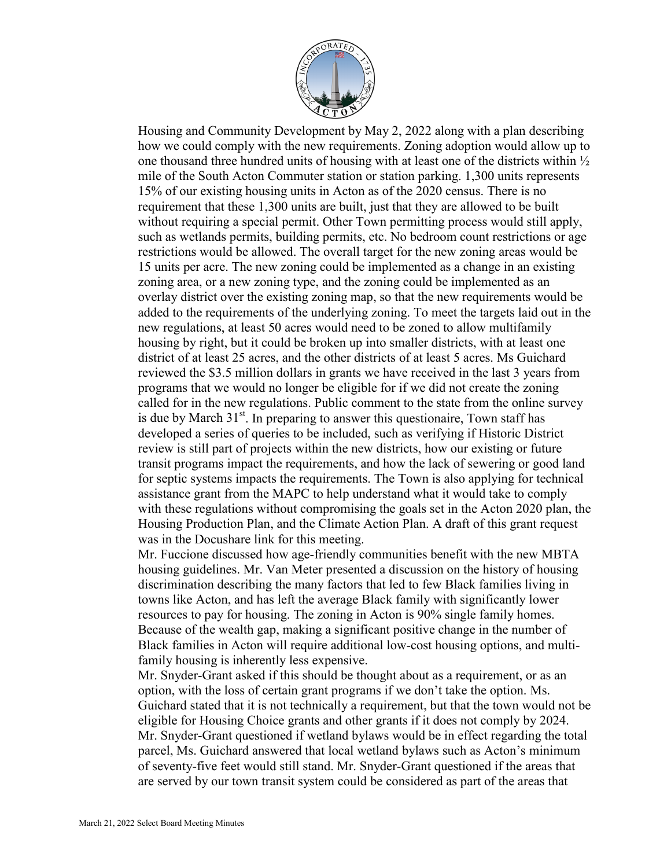

Housing and Community Development by May 2, 2022 along with a plan describing how we could comply with the new requirements. Zoning adoption would allow up to one thousand three hundred units of housing with at least one of the districts within  $\frac{1}{2}$ mile of the South Acton Commuter station or station parking. 1,300 units represents 15% of our existing housing units in Acton as of the 2020 census. There is no requirement that these 1,300 units are built, just that they are allowed to be built without requiring a special permit. Other Town permitting process would still apply, such as wetlands permits, building permits, etc. No bedroom count restrictions or age restrictions would be allowed. The overall target for the new zoning areas would be 15 units per acre. The new zoning could be implemented as a change in an existing zoning area, or a new zoning type, and the zoning could be implemented as an overlay district over the existing zoning map, so that the new requirements would be added to the requirements of the underlying zoning. To meet the targets laid out in the new regulations, at least 50 acres would need to be zoned to allow multifamily housing by right, but it could be broken up into smaller districts, with at least one district of at least 25 acres, and the other districts of at least 5 acres. Ms Guichard reviewed the \$3.5 million dollars in grants we have received in the last 3 years from programs that we would no longer be eligible for if we did not create the zoning called for in the new regulations. Public comment to the state from the online survey is due by March  $31<sup>st</sup>$ . In preparing to answer this questionaire, Town staff has developed a series of queries to be included, such as verifying if Historic District review is still part of projects within the new districts, how our existing or future transit programs impact the requirements, and how the lack of sewering or good land for septic systems impacts the requirements. The Town is also applying for technical assistance grant from the MAPC to help understand what it would take to comply with these regulations without compromising the goals set in the Acton 2020 plan, the Housing Production Plan, and the Climate Action Plan. A draft of this grant request was in the Docushare link for this meeting.

Mr. Fuccione discussed how age-friendly communities benefit with the new MBTA housing guidelines. Mr. Van Meter presented a discussion on the history of housing discrimination describing the many factors that led to few Black families living in towns like Acton, and has left the average Black family with significantly lower resources to pay for housing. The zoning in Acton is 90% single family homes. Because of the wealth gap, making a significant positive change in the number of Black families in Acton will require additional low-cost housing options, and multifamily housing is inherently less expensive.

Mr. Snyder-Grant asked if this should be thought about as a requirement, or as an option, with the loss of certain grant programs if we don't take the option. Ms. Guichard stated that it is not technically a requirement, but that the town would not be eligible for Housing Choice grants and other grants if it does not comply by 2024. Mr. Snyder-Grant questioned if wetland bylaws would be in effect regarding the total parcel, Ms. Guichard answered that local wetland bylaws such as Acton's minimum of seventy-five feet would still stand. Mr. Snyder-Grant questioned if the areas that are served by our town transit system could be considered as part of the areas that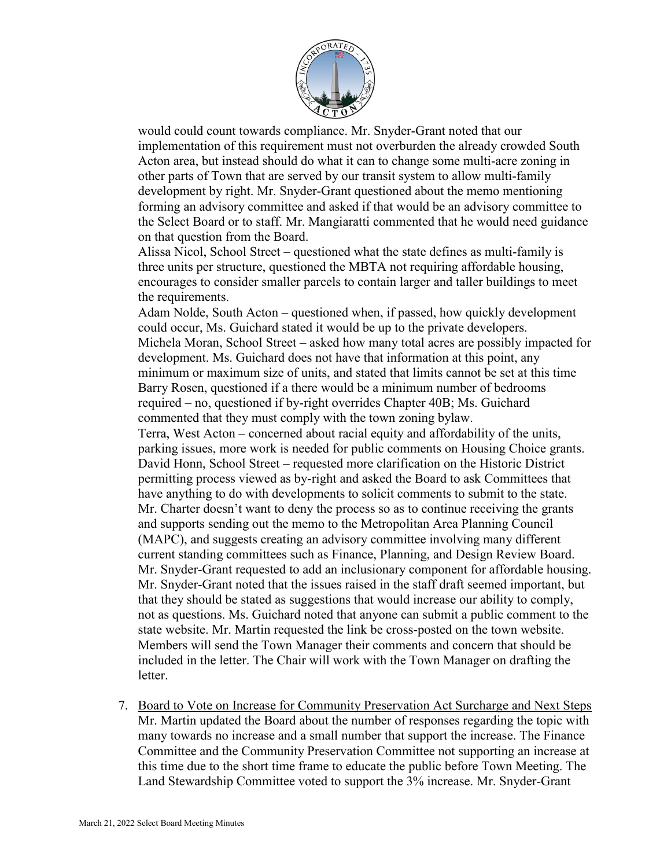

would could count towards compliance. Mr. Snyder-Grant noted that our implementation of this requirement must not overburden the already crowded South Acton area, but instead should do what it can to change some multi-acre zoning in other parts of Town that are served by our transit system to allow multi-family development by right. Mr. Snyder-Grant questioned about the memo mentioning forming an advisory committee and asked if that would be an advisory committee to the Select Board or to staff. Mr. Mangiaratti commented that he would need guidance on that question from the Board.

Alissa Nicol, School Street – questioned what the state defines as multi-family is three units per structure, questioned the MBTA not requiring affordable housing, encourages to consider smaller parcels to contain larger and taller buildings to meet the requirements.

Adam Nolde, South Acton – questioned when, if passed, how quickly development could occur, Ms. Guichard stated it would be up to the private developers. Michela Moran, School Street – asked how many total acres are possibly impacted for development. Ms. Guichard does not have that information at this point, any minimum or maximum size of units, and stated that limits cannot be set at this time Barry Rosen, questioned if a there would be a minimum number of bedrooms required – no, questioned if by-right overrides Chapter 40B; Ms. Guichard commented that they must comply with the town zoning bylaw. Terra, West Acton – concerned about racial equity and affordability of the units, parking issues, more work is needed for public comments on Housing Choice grants.

David Honn, School Street – requested more clarification on the Historic District permitting process viewed as by-right and asked the Board to ask Committees that have anything to do with developments to solicit comments to submit to the state. Mr. Charter doesn't want to deny the process so as to continue receiving the grants and supports sending out the memo to the Metropolitan Area Planning Council (MAPC), and suggests creating an advisory committee involving many different current standing committees such as Finance, Planning, and Design Review Board. Mr. Snyder-Grant requested to add an inclusionary component for affordable housing. Mr. Snyder-Grant noted that the issues raised in the staff draft seemed important, but that they should be stated as suggestions that would increase our ability to comply, not as questions. Ms. Guichard noted that anyone can submit a public comment to the state website. Mr. Martin requested the link be cross-posted on the town website. Members will send the Town Manager their comments and concern that should be included in the letter. The Chair will work with the Town Manager on drafting the letter.

7. Board to Vote on Increase for Community Preservation Act Surcharge and Next Steps Mr. Martin updated the Board about the number of responses regarding the topic with many towards no increase and a small number that support the increase. The Finance Committee and the Community Preservation Committee not supporting an increase at this time due to the short time frame to educate the public before Town Meeting. The Land Stewardship Committee voted to support the 3% increase. Mr. Snyder-Grant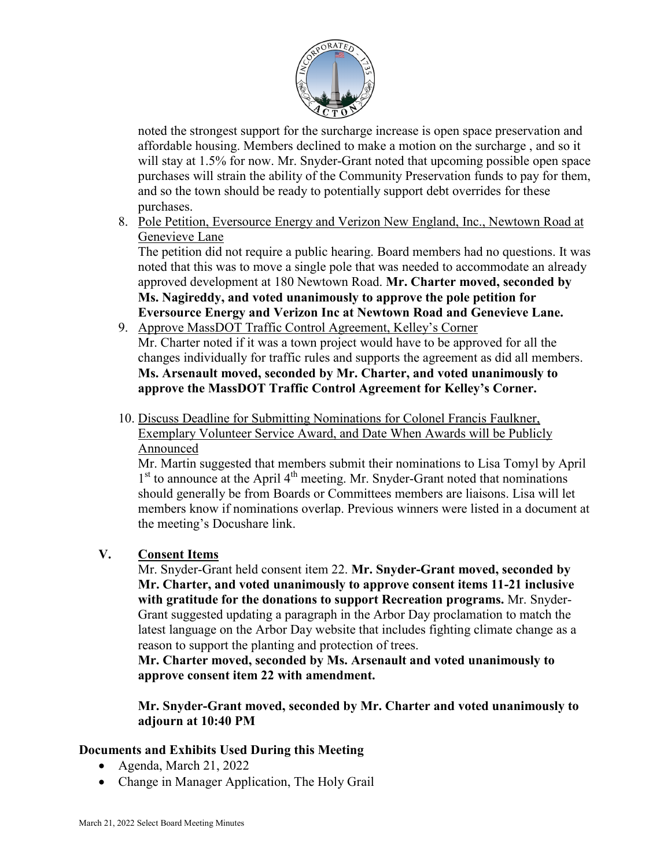

noted the strongest support for the surcharge increase is open space preservation and affordable housing. Members declined to make a motion on the surcharge , and so it will stay at 1.5% for now. Mr. Snyder-Grant noted that upcoming possible open space purchases will strain the ability of the Community Preservation funds to pay for them, and so the town should be ready to potentially support debt overrides for these purchases.

8. Pole Petition, Eversource Energy and Verizon New England, Inc., Newtown Road at Genevieve Lane

The petition did not require a public hearing. Board members had no questions. It was noted that this was to move a single pole that was needed to accommodate an already approved development at 180 Newtown Road. **Mr. Charter moved, seconded by Ms. Nagireddy, and voted unanimously to approve the pole petition for Eversource Energy and Verizon Inc at Newtown Road and Genevieve Lane.** 

- 9. Approve MassDOT Traffic Control Agreement, Kelley's Corner Mr. Charter noted if it was a town project would have to be approved for all the changes individually for traffic rules and supports the agreement as did all members. **Ms. Arsenault moved, seconded by Mr. Charter, and voted unanimously to approve the MassDOT Traffic Control Agreement for Kelley's Corner.**
- 10. Discuss Deadline for Submitting Nominations for Colonel Francis Faulkner, Exemplary Volunteer Service Award, and Date When Awards will be Publicly Announced

Mr. Martin suggested that members submit their nominations to Lisa Tomyl by April  $1<sup>st</sup>$  to announce at the April  $4<sup>th</sup>$  meeting. Mr. Snyder-Grant noted that nominations should generally be from Boards or Committees members are liaisons. Lisa will let members know if nominations overlap. Previous winners were listed in a document at the meeting's Docushare link.

# **V. Consent Items**

Mr. Snyder-Grant held consent item 22. **Mr. Snyder-Grant moved, seconded by Mr. Charter, and voted unanimously to approve consent items 11-21 inclusive with gratitude for the donations to support Recreation programs.** Mr. Snyder-Grant suggested updating a paragraph in the Arbor Day proclamation to match the latest language on the Arbor Day website that includes fighting climate change as a reason to support the planting and protection of trees.

**Mr. Charter moved, seconded by Ms. Arsenault and voted unanimously to approve consent item 22 with amendment.**

**Mr. Snyder-Grant moved, seconded by Mr. Charter and voted unanimously to adjourn at 10:40 PM** 

# **Documents and Exhibits Used During this Meeting**

- Agenda, March 21, 2022
- Change in Manager Application, The Holy Grail